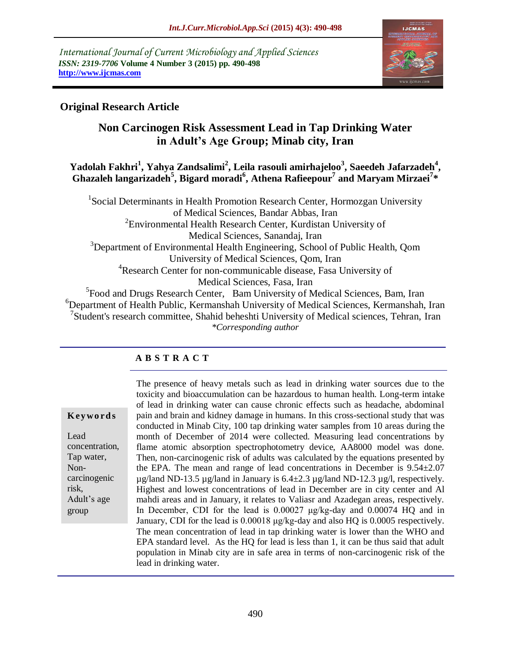*International Journal of Current Microbiology and Applied Sciences ISSN: 2319-7706* **Volume 4 Number 3 (2015) pp. 490-498 http://www.ijcmas.com** 



## **Original Research Article**

# **Non Carcinogen Risk Assessment Lead in Tap Drinking Water in Adult's Age Group; Minab city, Iran**

#### **Yadolah Fakhri<sup>1</sup> , Yahya Zandsalimi<sup>2</sup> , Leila rasouli amirhajeloo<sup>3</sup> , Saeedeh Jafarzadeh<sup>4</sup> , Ghazaleh langarizadeh<sup>5</sup> , Bigard moradi<sup>6</sup> , Athena Rafieepour<sup>7</sup> and Maryam Mirzaei<sup>7</sup> \***

<sup>1</sup>Social Determinants in Health Promotion Research Center, Hormozgan University of Medical Sciences, Bandar Abbas, Iran <sup>2</sup> Environmental Health Research Center, Kurdistan University of Medical Sciences, Sanandaj, Iran <sup>3</sup>Department of Environmental Health Engineering, School of Public Health, Qom University of Medical Sciences, Qom, Iran <sup>4</sup>Research Center for non-communicable disease, Fasa University of Medical Sciences, Fasa, Iran <sup>5</sup> Food and Drugs Research Center, Bam University of Medical Sciences, Bam, Iran <sup>6</sup>Department of Health Public, Kermanshah University of Medical Sciences, Kermanshah, Iran <sup>7</sup>Student's research committee, Shahid beheshti University of Medical sciences, Tehran, Iran

*\*Corresponding author*

# **A B S T R A C T**

**K ey w o rd s** Lead concentration, Tap water, Noncarcinogenic risk, Adult's age group

The presence of heavy metals such as lead in drinking water sources due to the toxicity and bioaccumulation can be hazardous to human health. Long-term intake of lead in drinking water can cause chronic effects such as headache, abdominal pain and brain and kidney damage in humans. In this cross-sectional study that was conducted in Minab City, 100 tap drinking water samples from 10 areas during the month of December of 2014 were collected. Measuring lead concentrations by flame atomic absorption spectrophotometry device, AA8000 model was done. Then, non-carcinogenic risk of adults was calculated by the equations presented by the EPA. The mean and range of lead concentrations in December is 9.54±2.07  $\mu$ g/land ND-13.5  $\mu$ g/land in January is 6.4 $\pm$ 2.3  $\mu$ g/land ND-12.3  $\mu$ g/l, respectively. Highest and lowest concentrations of lead in December are in city center and Al mahdi areas and in January, it relates to Valiasr and Azadegan areas, respectively. In December, CDI for the lead is 0.00027 μg/kg-day and 0.00074 HQ and in January, CDI for the lead is 0.00018 μg/kg-day and also HQ is 0.0005 respectively. The mean concentration of lead in tap drinking water is lower than the WHO and EPA standard level. As the HQ for lead is less than 1, it can be thus said that adult population in Minab city are in safe area in terms of non-carcinogenic risk of the lead in drinking water.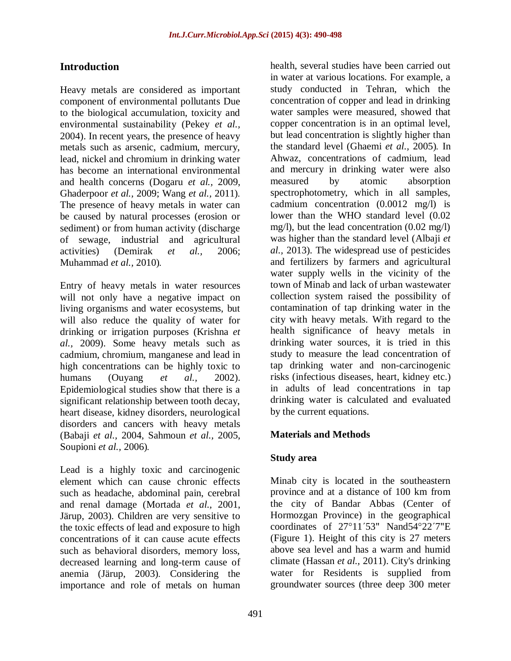# **Introduction**

Heavy metals are considered as important component of environmental pollutants Due to the biological accumulation, toxicity and environmental sustainability (Pekey *et al.,*  2004). In recent years, the presence of heavy metals such as arsenic, cadmium, mercury, lead, nickel and chromium in drinking water has become an international environmental and health concerns (Dogaru *et al.,* 2009, Ghaderpoor *et al.,* 2009; Wang *et al.,* 2011). The presence of heavy metals in water can be caused by natural processes (erosion or sediment) or from human activity (discharge of sewage, industrial and agricultural activities) (Demirak *et al.,* 2006; Muhammad *et al.,* 2010).

Entry of heavy metals in water resources will not only have a negative impact on living organisms and water ecosystems, but will also reduce the quality of water for drinking or irrigation purposes (Krishna *et al.,* 2009). Some heavy metals such as cadmium, chromium, manganese and lead in high concentrations can be highly toxic to humans (Ouyang *et al.,* 2002). Epidemiological studies show that there is a significant relationship between tooth decay, heart disease, kidney disorders, neurological disorders and cancers with heavy metals (Babaji *et al.,* 2004, Sahmoun *et al.,* 2005, Soupioni *et al.,* 2006).

Lead is a highly toxic and carcinogenic element which can cause chronic effects such as headache, abdominal pain, cerebral and renal damage (Mortada *et al.,* 2001, Järup, 2003). Children are very sensitive to the toxic effects of lead and exposure to high concentrations of it can cause acute effects such as behavioral disorders, memory loss, decreased learning and long-term cause of anemia (Järup, 2003). Considering the importance and role of metals on human

health, several studies have been carried out in water at various locations. For example, a study conducted in Tehran, which the concentration of copper and lead in drinking water samples were measured, showed that copper concentration is in an optimal level, but lead concentration is slightly higher than the standard level (Ghaemi *et al.,* 2005). In Ahwaz, concentrations of cadmium, lead and mercury in drinking water were also measured by atomic absorption spectrophotometry, which in all samples, cadmium concentration (0.0012 mg/l) is lower than the WHO standard level (0.02 mg/l), but the lead concentration (0.02 mg/l) was higher than the standard level (Albaji *et al.,* 2013). The widespread use of pesticides and fertilizers by farmers and agricultural water supply wells in the vicinity of the town of Minab and lack of urban wastewater collection system raised the possibility of contamination of tap drinking water in the city with heavy metals. With regard to the health significance of heavy metals in drinking water sources, it is tried in this study to measure the lead concentration of tap drinking water and non-carcinogenic risks (infectious diseases, heart, kidney etc.) in adults of lead concentrations in tap drinking water is calculated and evaluated by the current equations.

## **Materials and Methods**

## **Study area**

Minab city is located in the southeastern province and at a distance of 100 km from the city of Bandar Abbas (Center of Hormozgan Province) in the geographical coordinates of 27°11´53" Nand54°22´7"E (Figure 1). Height of this city is 27 meters above sea level and has a warm and humid climate (Hassan *et al.,* 2011). City's drinking water for Residents is supplied from groundwater sources (three deep 300 meter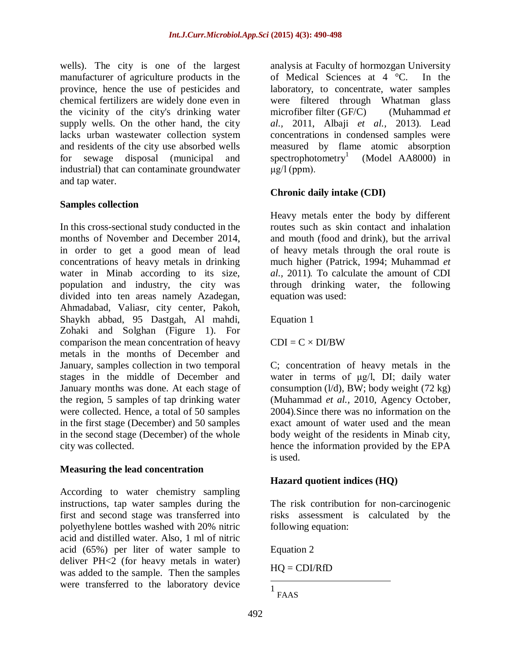wells). The city is one of the largest manufacturer of agriculture products in the province, hence the use of pesticides and chemical fertilizers are widely done even in the vicinity of the city's drinking water supply wells. On the other hand, the city lacks urban wastewater collection system and residents of the city use absorbed wells for sewage disposal (municipal and industrial) that can contaminate groundwater and tap water.

#### **Samples collection**

In this cross-sectional study conducted in the months of November and December 2014, in order to get a good mean of lead concentrations of heavy metals in drinking water in Minab according to its size, population and industry, the city was divided into ten areas namely Azadegan, Ahmadabad, Valiasr, city center, Pakoh, Shaykh abbad, 95 Dastgah, Al mahdi, Zohaki and Solghan (Figure 1). For comparison the mean concentration of heavy metals in the months of December and January, samples collection in two temporal stages in the middle of December and January months was done. At each stage of the region, 5 samples of tap drinking water were collected. Hence, a total of 50 samples in the first stage (December) and 50 samples in the second stage (December) of the whole city was collected.

## **Measuring the lead concentration**

According to water chemistry sampling instructions, tap water samples during the first and second stage was transferred into polyethylene bottles washed with 20% nitric acid and distilled water. Also, 1 ml of nitric acid (65%) per liter of water sample to deliver PH<2 (for heavy metals in water) was added to the sample. Then the samples were transferred to the laboratory device

analysis at Faculty of hormozgan University of Medical Sciences at 4 °C. In the laboratory, to concentrate, water samples were filtered through Whatman glass microfiber filter (GF/C) (Muhammad *et al.,* 2011, Albaji *et al.,* 2013). Lead concentrations in condensed samples were measured by flame atomic absorption spectrophotometry<sup>1</sup> (Model AA8000) in  $\mu$ g/l (ppm).

## **Chronic daily intake (CDI)**

Heavy metals enter the body by different routes such as skin contact and inhalation and mouth (food and drink), but the arrival of heavy metals through the oral route is much higher (Patrick, 1994; Muhammad *et al.,* 2011). To calculate the amount of CDI through drinking water, the following equation was used:

Equation 1

 $CDI = C \times DI/BW$ 

C; concentration of heavy metals in the water in terms of μg/l, DI; daily water consumption  $(l/d)$ , BW; body weight  $(72 \text{ kg})$ (Muhammad *et al.,* 2010, Agency October, 2004).Since there was no information on the exact amount of water used and the mean body weight of the residents in Minab city, hence the information provided by the EPA is used.

## **Hazard quotient indices (HQ)**

The risk contribution for non-carcinogenic risks assessment is calculated by the following equation:

Equation 2

 $HQ = CDI/RfD$ 

1 FAAS

 $\overline{a}$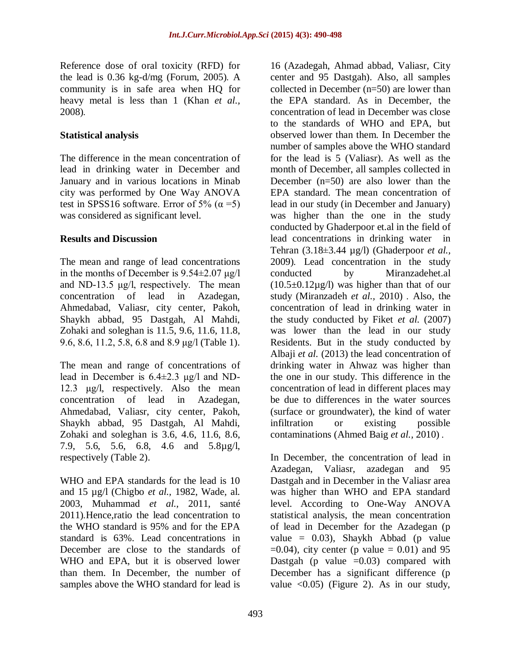Reference dose of oral toxicity (RFD) for the lead is 0.36 kg-d/mg (Forum, 2005). A community is in safe area when HQ for heavy metal is less than 1 (Khan *et al.,*  2008).

#### **Statistical analysis**

The difference in the mean concentration of lead in drinking water in December and January and in various locations in Minab city was performed by One Way ANOVA test in SPSS16 software. Error of 5% ( $\alpha$  =5) was considered as significant level.

#### **Results and Discussion**

The mean and range of lead concentrations in the months of December is 9.54±2.07 μg/l and ND-13.5 μg/l, respectively. The mean concentration of lead in Azadegan, Ahmedabad, Valiasr, city center, Pakoh, Shaykh abbad, 95 Dastgah, Al Mahdi, Zohaki and soleghan is 11.5, 9.6, 11.6, 11.8, 9.6, 8.6, 11.2, 5.8, 6.8 and 8.9 μg/l (Table 1).

The mean and range of concentrations of lead in December is 6.4±2.3 μg/l and ND-12.3 μg/l, respectively. Also the mean concentration of lead in Azadegan, Ahmedabad, Valiasr, city center, Pakoh, Shaykh abbad, 95 Dastgah, Al Mahdi, Zohaki and soleghan is 3.6, 4.6, 11.6, 8.6, 7.9, 5.6, 5.6, 6.8, 4.6 and 5.8µg/l, respectively (Table 2).

WHO and EPA standards for the lead is 10 and 15 µg/l (Chigbo *et al.,* 1982, Wade, al. 2003, Muhammad *et al.,* 2011, santé 2011).Hence,ratio the lead concentration to the WHO standard is 95% and for the EPA standard is 63%. Lead concentrations in December are close to the standards of WHO and EPA, but it is observed lower than them. In December, the number of samples above the WHO standard for lead is

16 (Azadegah, Ahmad abbad, Valiasr, City center and 95 Dastgah). Also, all samples collected in December (n=50) are lower than the EPA standard. As in December, the concentration of lead in December was close to the standards of WHO and EPA, but observed lower than them. In December the number of samples above the WHO standard for the lead is 5 (Valiasr). As well as the month of December, all samples collected in December (n=50) are also lower than the EPA standard. The mean concentration of lead in our study (in December and January) was higher than the one in the study conducted by Ghaderpoor et.al in the field of lead concentrations in drinking water in Tehran (3.18±3.44 µg/l) (Ghaderpoor *et al.,*  2009). Lead concentration in the study conducted by Miranzadehet.al  $(10.5\pm0.12\mu g/l)$  was higher than that of our study (Miranzadeh *et al.,* 2010) . Also, the concentration of lead in drinking water in the study conducted by Fiket *et al.* (2007) was lower than the lead in our study Residents. But in the study conducted by Albaji *et al.* (2013) the lead concentration of drinking water in Ahwaz was higher than the one in our study. This difference in the concentration of lead in different places may be due to differences in the water sources (surface or groundwater), the kind of water infiltration or existing possible contaminations (Ahmed Baig *et al.,* 2010) .

In December, the concentration of lead in Azadegan, Valiasr, azadegan and 95 Dastgah and in December in the Valiasr area was higher than WHO and EPA standard level. According to One-Way ANOVA statistical analysis, the mean concentration of lead in December for the Azadegan (p value =  $0.03$ ), Shaykh Abbad (p value  $=0.04$ ), city center (p value  $= 0.01$ ) and 95 Dastgah (p value  $=0.03$ ) compared with December has a significant difference (p value  $\langle 0.05 \rangle$  (Figure 2). As in our study,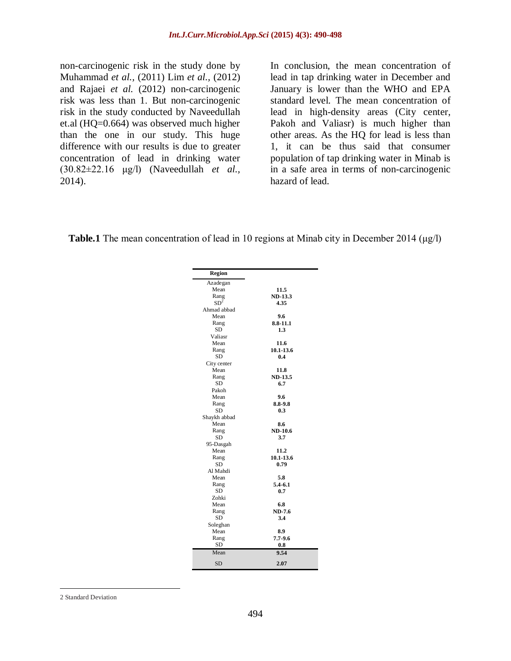non-carcinogenic risk in the study done by Muhammad *et al.,* (2011) Lim *et al.,* (2012) and Rajaei *et al.* (2012) non-carcinogenic risk was less than 1. But non-carcinogenic risk in the study conducted by Naveedullah et.al (HQ=0.664) was observed much higher than the one in our study. This huge difference with our results is due to greater concentration of lead in drinking water (30.82±22.16 μg/l) (Naveedullah *et al.,*  2014).

In conclusion, the mean concentration of lead in tap drinking water in December and January is lower than the WHO and EPA standard level. The mean concentration of lead in high-density areas (City center, Pakoh and Valiasr) is much higher than other areas. As the HQ for lead is less than 1, it can be thus said that consumer population of tap drinking water in Minab is in a safe area in terms of non-carcinogenic hazard of lead.

#### **Table.1** The mean concentration of lead in 10 regions at Minab city in December 2014 (μg/l)

| Region          |                |  |  |
|-----------------|----------------|--|--|
| Azadegan        |                |  |  |
| Mean            | 11.5           |  |  |
| Rang            | <b>ND-13.3</b> |  |  |
| SD <sup>2</sup> | 4.35           |  |  |
| Ahmad abbad     |                |  |  |
| Mean            | 9.6            |  |  |
| Rang            | 8.8-11.1       |  |  |
| <b>SD</b>       | 1.3            |  |  |
| Valiasr         |                |  |  |
| Mean            | 11.6           |  |  |
| Rang            | 10.1-13.6      |  |  |
| <b>SD</b>       | 0.4            |  |  |
| City center     |                |  |  |
| Mean            | 11.8           |  |  |
| Rang            | <b>ND-13.5</b> |  |  |
| <b>SD</b>       | 6.7            |  |  |
| Pakoh           |                |  |  |
| Mean            | 9.6            |  |  |
| Rang            | 8.8-9.8        |  |  |
| <b>SD</b>       | 0.3            |  |  |
| Shaykh abbad    |                |  |  |
| Mean            | 8.6            |  |  |
| Rang            | <b>ND-10.6</b> |  |  |
| <b>SD</b>       | 3.7            |  |  |
| 95-Dasgah       |                |  |  |
| Mean            | 11.2           |  |  |
| Rang            | 10.1-13.6      |  |  |
| SD              | 0.79           |  |  |
| Al Mahdi        |                |  |  |
| Mean            | 5.8            |  |  |
| Rang            | $5.4 - 6.1$    |  |  |
| <b>SD</b>       | 0.7            |  |  |
| <b>Zohki</b>    |                |  |  |
| Mean            | 6.8            |  |  |
| Rang            | ND-7.6         |  |  |
| <b>SD</b>       | 3.4            |  |  |
| Soleghan        |                |  |  |
| Mean            | 8.9            |  |  |
| Rang            | $7.7 - 9.6$    |  |  |
| <b>SD</b>       | 0.8            |  |  |
| Mean            | 9.54           |  |  |
| <b>SD</b>       | 2.07           |  |  |

2 Standard Deviation

 $\overline{a}$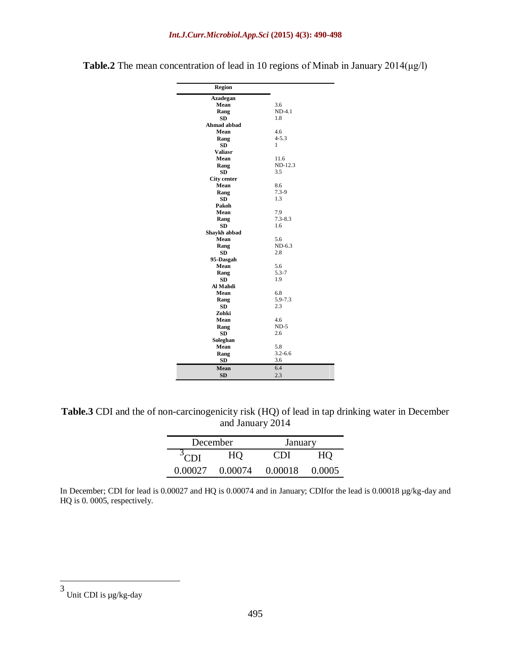| Region             |                    |
|--------------------|--------------------|
| <b>Azadegan</b>    |                    |
| Mean               | 3.6                |
| Rang               | $ND-4.1$           |
| SD.                | 1.8                |
| Ahmad abbad        |                    |
| Mean               | 4.6                |
| Rang               | $4 - 5.3$          |
| <b>SD</b>          | 1                  |
| <b>Valiasr</b>     |                    |
| Mean               | 11.6               |
| Rang               | $ND-12.3$          |
| <b>SD</b>          | 3.5                |
| <b>City center</b> |                    |
| Mean               | 8.6                |
| Rang               | $7.3 - 9$          |
| <b>SD</b>          | 1.3                |
| Pakoh              |                    |
| Mean               | 7.9                |
| Rang               | $7.3 - 8.3$        |
| <b>SD</b>          | 1.6                |
| Shavkh abbad       |                    |
| Mean               | 5.6                |
| Rang               | $ND-6.3$           |
| <b>SD</b>          | 2.8                |
| 95-Dasgah          |                    |
| Mean               | 5.6                |
| Rang               | $5.3 - 7$          |
| <b>SD</b>          | 1.9                |
| Al Mahdi           |                    |
| Mean               | 6.8                |
| Rang               | 5.9-7.3            |
| <b>SD</b>          | 2.3                |
| Zohki              |                    |
| Mean               | 4.6                |
| Rang               | $ND-5$             |
| <b>SD</b>          | 2.6                |
| Soleghan           |                    |
| Mean               | 5.8                |
| Rang               | $3.2 - 6.6$<br>3.6 |
| <b>SD</b>          |                    |
| <b>Mean</b>        | 6.4                |
| <b>SD</b>          | 2.3                |

**Table.2** The mean concentration of lead in 10 regions of Minab in January 2014(μg/l)

**Table.3** CDI and the of non-carcinogenicity risk (HQ) of lead in tap drinking water in December and January 2014

| December   |         | January |        |
|------------|---------|---------|--------|
| <b>CDI</b> | HQ      | CDI     | HO     |
| 0.00027    | 0.00074 | 0.00018 | 0.0005 |

In December; CDI for lead is 0.00027 and HQ is 0.00074 and in January; CDIfor the lead is 0.00018 µg/kg-day and HQ is 0. 0005, respectively.

 $\overline{a}$ 

<sup>3</sup> Unit CDI is µg/kg-day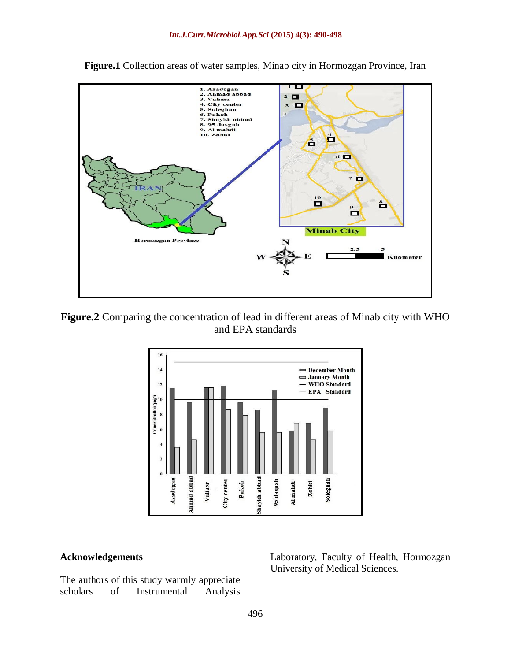

**Figure.1** Collection areas of water samples, Minab city in Hormozgan Province, Iran





#### **Acknowledgements**

Laboratory, Faculty of Health, Hormozgan University of Medical Sciences.

The authors of this study warmly appreciate scholars of Instrumental Analysis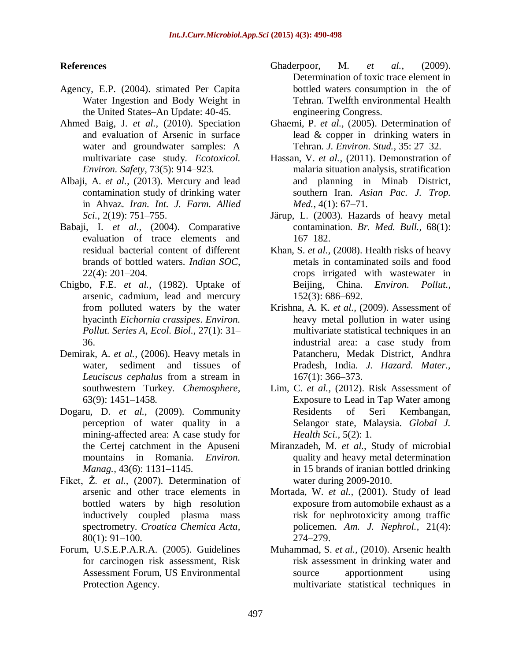#### **References**

- Agency, E.P. (2004). stimated Per Capita Water Ingestion and Body Weight in the United States–An Update: 40-45.
- Ahmed Baig, J. *et al.,* (2010). Speciation and evaluation of Arsenic in surface water and groundwater samples: A multivariate case study. *Ecotoxicol. Environ. Safety,* 73(5): 914–923.
- Albaji, A. *et al.,* (2013). Mercury and lead contamination study of drinking water in Ahvaz. *Iran. Int. J. Farm. Allied Sci.,* 2(19): 751–755.
- Babaji, I. *et al.,* (2004). Comparative evaluation of trace elements and residual bacterial content of different brands of bottled waters. *Indian SOC,* 22(4): 201–204.
- Chigbo, F.E. *et al.,* (1982). Uptake of arsenic, cadmium, lead and mercury from polluted waters by the water hyacinth *Eichornia crassipes*. *Environ. Pollut. Series A, Ecol. Biol.,* 27(1): 31– 36.
- Demirak, A. *et al.,* (2006). Heavy metals in water, sediment and tissues of *Leuciscus cephalus* from a stream in southwestern Turkey. *Chemosphere,* 63(9): 1451–1458.
- Dogaru, D. *et al.,* (2009). Community perception of water quality in a mining-affected area: A case study for the Certej catchment in the Apuseni mountains in Romania. *Environ. Manag.,* 43(6): 1131–1145.
- Fiket, Ž. *et al.,* (2007). Determination of arsenic and other trace elements in bottled waters by high resolution inductively coupled plasma mass spectrometry. *Croatica Chemica Acta,* 80(1): 91–100.
- Forum, U.S.E.P.A.R.A. (2005). Guidelines for carcinogen risk assessment, Risk Assessment Forum, US Environmental Protection Agency.
- Ghaderpoor, M. *et al.,* (2009). Determination of toxic trace element in bottled waters consumption in the of Tehran. Twelfth environmental Health engineering Congress.
- Ghaemi, P. *et al.,* (2005). Determination of lead & copper in drinking waters in Tehran. *J. Environ. Stud.,* 35: 27–32.
- Hassan, V. *et al.,* (2011). Demonstration of malaria situation analysis, stratification and planning in Minab District, southern Iran. *Asian Pac. J. Trop. Med.,* 4(1): 67–71.
- Järup, L. (2003). Hazards of heavy metal contamination. *Br. Med. Bull.,* 68(1): 167–182.
- Khan, S. *et al.,* (2008). Health risks of heavy metals in contaminated soils and food crops irrigated with wastewater in Beijing, China. *Environ. Pollut.,* 152(3): 686–692.
- Krishna, A. K. *et al.,* (2009). Assessment of heavy metal pollution in water using multivariate statistical techniques in an industrial area: a case study from Patancheru, Medak District, Andhra Pradesh, India. *J. Hazard. Mater.,* 167(1): 366–373.
- Lim, C. *et al.,* (2012). Risk Assessment of Exposure to Lead in Tap Water among Residents of Seri Kembangan, Selangor state, Malaysia. *Global J. Health Sci.,* 5(2): 1.
- Miranzadeh, M. *et al.,* Study of microbial quality and heavy metal determination in 15 brands of iranian bottled drinking water during 2009-2010.
- Mortada, W. *et al.,* (2001). Study of lead exposure from automobile exhaust as a risk for nephrotoxicity among traffic policemen. *Am. J. Nephrol.,* 21(4): 274–279.
- Muhammad, S. *et al.,* (2010). Arsenic health risk assessment in drinking water and source apportionment using multivariate statistical techniques in